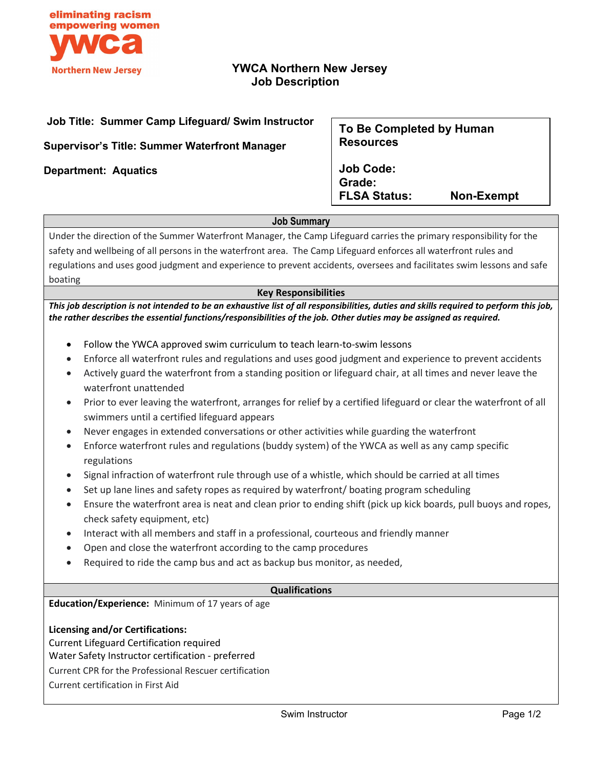

# **YWCA Northern New Jersey Job Description**

## **Job Title: Summer Camp Lifeguard/ Swim Instructor**

**Supervisor's Title: Summer Waterfront Manager**

**Department: Aquatics** 

# **To Be Completed by Human Resources**

**Job Code: Grade: FLSA Status: Non-Exempt**

## **Job Summary**

Under the direction of the Summer Waterfront Manager, the Camp Lifeguard carries the primary responsibility for the safety and wellbeing of all persons in the waterfront area. The Camp Lifeguard enforces all waterfront rules and regulations and uses good judgment and experience to prevent accidents, oversees and facilitates swim lessons and safe boating

## **Key Responsibilities**

*This job description is not intended to be an exhaustive list of all responsibilities, duties and skills required to perform this job, the rather describes the essential functions/responsibilities of the job. Other duties may be assigned as required.*

- Follow the YWCA approved swim curriculum to teach learn-to-swim lessons
- Enforce all waterfront rules and regulations and uses good judgment and experience to prevent accidents
- Actively guard the waterfront from a standing position or lifeguard chair, at all times and never leave the waterfront unattended
- Prior to ever leaving the waterfront, arranges for relief by a certified lifeguard or clear the waterfront of all swimmers until a certified lifeguard appears
- Never engages in extended conversations or other activities while guarding the waterfront
- Enforce waterfront rules and regulations (buddy system) of the YWCA as well as any camp specific regulations
- Signal infraction of waterfront rule through use of a whistle, which should be carried at all times
- Set up lane lines and safety ropes as required by waterfront/ boating program scheduling
- Ensure the waterfront area is neat and clean prior to ending shift (pick up kick boards, pull buoys and ropes, check safety equipment, etc)
- Interact with all members and staff in a professional, courteous and friendly manner
- Open and close the waterfront according to the camp procedures
- Required to ride the camp bus and act as backup bus monitor, as needed,

### **Qualifications**

**Education/Experience:** Minimum of 17 years of age

### **Licensing and/or Certifications:**

Current Lifeguard Certification required

Water Safety Instructor certification - preferred

Current CPR for the Professional Rescuer certification

Current certification in First Aid